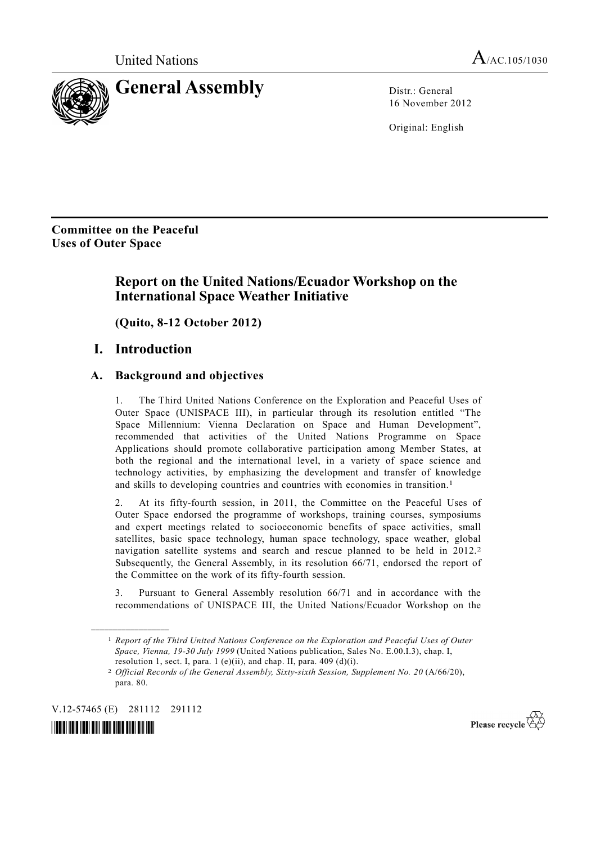

16 November 2012

Original: English

**Committee on the Peaceful Uses of Outer Space** 

# **Report on the United Nations/Ecuador Workshop on the International Space Weather Initiative**

 **(Quito, 8-12 October 2012)** 

### **I. Introduction**

#### **A. Background and objectives**

1. The Third United Nations Conference on the Exploration and Peaceful Uses of Outer Space (UNISPACE III), in particular through its resolution entitled "The Space Millennium: Vienna Declaration on Space and Human Development", recommended that activities of the United Nations Programme on Space Applications should promote collaborative participation among Member States, at both the regional and the international level, in a variety of space science and technology activities, by emphasizing the development and transfer of knowledge and skills to developing countries and countries with economies in transition.<sup>1</sup>

2. At its fifty-fourth session, in 2011, the Committee on the Peaceful Uses of Outer Space endorsed the programme of workshops, training courses, symposiums and expert meetings related to socioeconomic benefits of space activities, small satellites, basic space technology, human space technology, space weather, global navigation satellite systems and search and rescue planned to be held in 2012.<sup>2</sup> Subsequently, the General Assembly, in its resolution 66/71, endorsed the report of the Committee on the work of its fifty-fourth session.

3. Pursuant to General Assembly resolution 66/71 and in accordance with the recommendations of UNISPACE III, the United Nations/Ecuador Workshop on the

V.12-57465 (E) 281112 291112

**\_\_\_\_\_\_\_\_\_\_\_\_\_\_\_\_\_\_** 



Please recycle  $\overleftrightarrow{C}$ 

<sup>1</sup> *Report of the Third United Nations Conference on the Exploration and Peaceful Uses of Outer Space, Vienna, 19-30 July 1999* (United Nations publication, Sales No. E.00.I.3), chap. I, resolution 1, sect. I, para. 1 (e)(ii), and chap. II, para.  $409$  (d)(i).

<sup>2</sup> *Official Records of the General Assembly, Sixty-sixth Session, Supplement No. 20* (A/66/20), para. 80.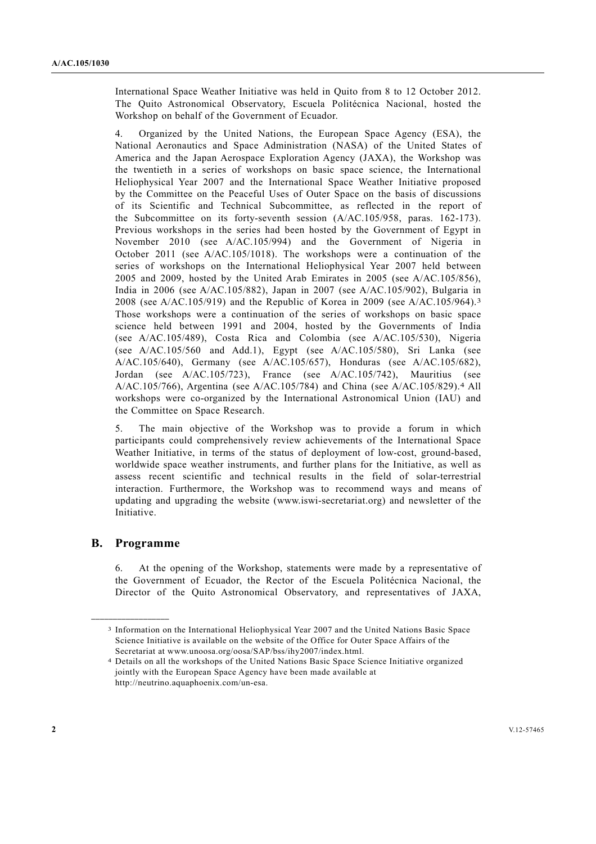International Space Weather Initiative was held in Quito from 8 to 12 October 2012. The Quito Astronomical Observatory, Escuela Politécnica Nacional, hosted the Workshop on behalf of the Government of Ecuador.

4. Organized by the United Nations, the European Space Agency (ESA), the National Aeronautics and Space Administration (NASA) of the United States of America and the Japan Aerospace Exploration Agency (JAXA), the Workshop was the twentieth in a series of workshops on basic space science, the International Heliophysical Year 2007 and the International Space Weather Initiative proposed by the Committee on the Peaceful Uses of Outer Space on the basis of discussions of its Scientific and Technical Subcommittee, as reflected in the report of the Subcommittee on its forty-seventh session (A/AC.105/958, paras. 162-173). Previous workshops in the series had been hosted by the Government of Egypt in November 2010 (see A/AC.105/994) and the Government of Nigeria in October 2011 (see A/AC.105/1018). The workshops were a continuation of the series of workshops on the International Heliophysical Year 2007 held between 2005 and 2009, hosted by the United Arab Emirates in 2005 (see A/AC.105/856), India in 2006 (see A/AC.105/882), Japan in 2007 (see A/AC.105/902), Bulgaria in 2008 (see A/AC.105/919) and the Republic of Korea in 2009 (see A/AC.105/964).3 Those workshops were a continuation of the series of workshops on basic space science held between 1991 and 2004, hosted by the Governments of India (see A/AC.105/489), Costa Rica and Colombia (see A/AC.105/530), Nigeria (see A/AC.105/560 and Add.1), Egypt (see A/AC.105/580), Sri Lanka (see A/AC.105/640), Germany (see A/AC.105/657), Honduras (see A/AC.105/682), Jordan (see A/AC.105/723), France (see A/AC.105/742), Mauritius (see A/AC.105/766), Argentina (see A/AC.105/784) and China (see A/AC.105/829).4 All workshops were co-organized by the International Astronomical Union (IAU) and the Committee on Space Research.

5. The main objective of the Workshop was to provide a forum in which participants could comprehensively review achievements of the International Space Weather Initiative, in terms of the status of deployment of low-cost, ground-based, worldwide space weather instruments, and further plans for the Initiative, as well as assess recent scientific and technical results in the field of solar-terrestrial interaction. Furthermore, the Workshop was to recommend ways and means of updating and upgrading the website (www.iswi-secretariat.org) and newsletter of the **Initiative** 

#### **B. Programme**

**\_\_\_\_\_\_\_\_\_\_\_\_\_\_\_\_\_\_** 

6. At the opening of the Workshop, statements were made by a representative of the Government of Ecuador, the Rector of the Escuela Politécnica Nacional, the Director of the Quito Astronomical Observatory, and representatives of JAXA,

<sup>3</sup> Information on the International Heliophysical Year 2007 and the United Nations Basic Space Science Initiative is available on the website of the Office for Outer Space Affairs of the Secretariat at www.unoosa.org/oosa/SAP/bss/ihy2007/index.html.

<sup>4</sup> Details on all the workshops of the United Nations Basic Space Science Initiative organized jointly with the European Space Agency have been made available at http://neutrino.aquaphoenix.com/un-esa.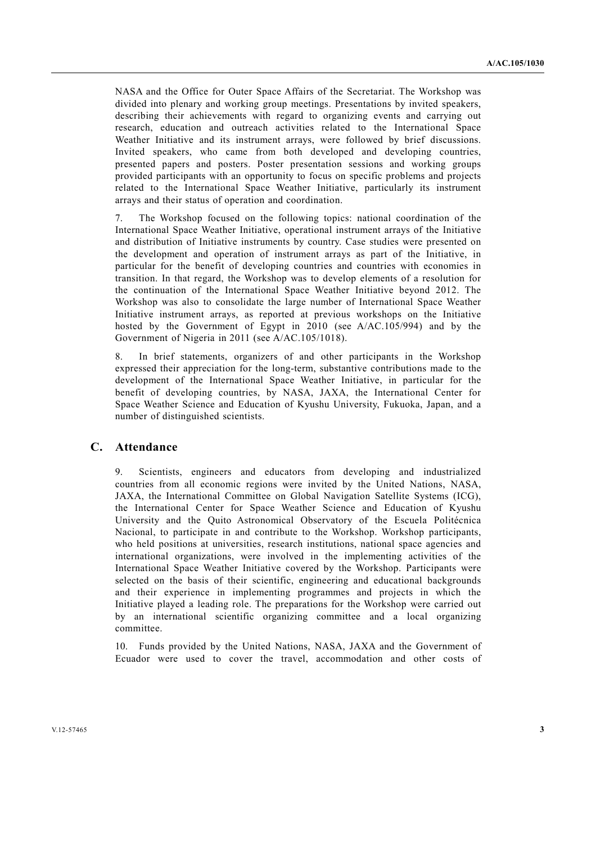NASA and the Office for Outer Space Affairs of the Secretariat. The Workshop was divided into plenary and working group meetings. Presentations by invited speakers, describing their achievements with regard to organizing events and carrying out research, education and outreach activities related to the International Space Weather Initiative and its instrument arrays, were followed by brief discussions. Invited speakers, who came from both developed and developing countries, presented papers and posters. Poster presentation sessions and working groups provided participants with an opportunity to focus on specific problems and projects related to the International Space Weather Initiative, particularly its instrument arrays and their status of operation and coordination.

7. The Workshop focused on the following topics: national coordination of the International Space Weather Initiative, operational instrument arrays of the Initiative and distribution of Initiative instruments by country. Case studies were presented on the development and operation of instrument arrays as part of the Initiative, in particular for the benefit of developing countries and countries with economies in transition. In that regard, the Workshop was to develop elements of a resolution for the continuation of the International Space Weather Initiative beyond 2012. The Workshop was also to consolidate the large number of International Space Weather Initiative instrument arrays, as reported at previous workshops on the Initiative hosted by the Government of Egypt in  $2010$  (see A/AC.105/994) and by the Government of Nigeria in 2011 (see A/AC.105/1018).

8. In brief statements, organizers of and other participants in the Workshop expressed their appreciation for the long-term, substantive contributions made to the development of the International Space Weather Initiative, in particular for the benefit of developing countries, by NASA, JAXA, the International Center for Space Weather Science and Education of Kyushu University, Fukuoka, Japan, and a number of distinguished scientists.

#### **C. Attendance**

9. Scientists, engineers and educators from developing and industrialized countries from all economic regions were invited by the United Nations, NASA, JAXA, the International Committee on Global Navigation Satellite Systems (ICG), the International Center for Space Weather Science and Education of Kyushu University and the Quito Astronomical Observatory of the Escuela Politécnica Nacional, to participate in and contribute to the Workshop. Workshop participants, who held positions at universities, research institutions, national space agencies and international organizations, were involved in the implementing activities of the International Space Weather Initiative covered by the Workshop. Participants were selected on the basis of their scientific, engineering and educational backgrounds and their experience in implementing programmes and projects in which the Initiative played a leading role. The preparations for the Workshop were carried out by an international scientific organizing committee and a local organizing committee.

10. Funds provided by the United Nations, NASA, JAXA and the Government of Ecuador were used to cover the travel, accommodation and other costs of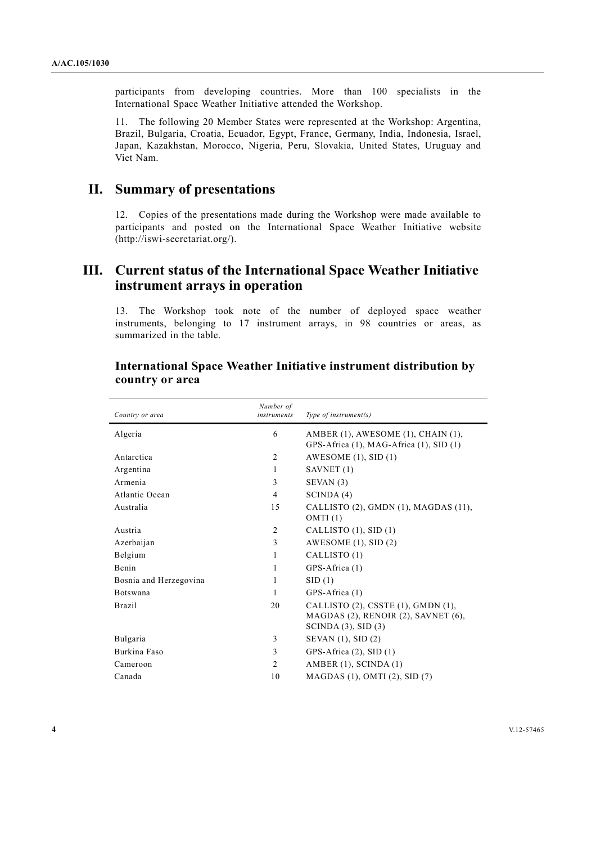participants from developing countries. More than 100 specialists in the International Space Weather Initiative attended the Workshop.

11. The following 20 Member States were represented at the Workshop: Argentina, Brazil, Bulgaria, Croatia, Ecuador, Egypt, France, Germany, India, Indonesia, Israel, Japan, Kazakhstan, Morocco, Nigeria, Peru, Slovakia, United States, Uruguay and Viet Nam.

### **II. Summary of presentations**

12. Copies of the presentations made during the Workshop were made available to participants and posted on the International Space Weather Initiative website (http://iswi-secretariat.org/).

## **III. Current status of the International Space Weather Initiative instrument arrays in operation**

13. The Workshop took note of the number of deployed space weather instruments, belonging to 17 instrument arrays, in 98 countries or areas, as summarized in the table.

| Country or area        | Number of<br>instruments | Type of instrument $(s)$                                                                              |
|------------------------|--------------------------|-------------------------------------------------------------------------------------------------------|
| Algeria                | 6                        | AMBER (1), AWESOME (1), CHAIN (1),<br>GPS-Africa (1), MAG-Africa (1), SID (1)                         |
| Antarctica             | 2                        | AWESOME $(1)$ , SID $(1)$                                                                             |
| Argentina              | 1                        | SAVNET (1)                                                                                            |
| Armenia                | 3                        | SEVAN(3)                                                                                              |
| Atlantic Ocean         | 4                        | SCINDA(4)                                                                                             |
| Australia              | 15                       | CALLISTO (2), GMDN (1), MAGDAS (11),<br>OMTI(1)                                                       |
| Austria                | $\overline{2}$           | CALLISTO $(1)$ , SID $(1)$                                                                            |
| Azerbaijan             | 3                        | AWESOME $(1)$ , SID $(2)$                                                                             |
| Belgium                | 1                        | CALLISTO (1)                                                                                          |
| Benin                  | 1                        | GPS-Africa (1)                                                                                        |
| Bosnia and Herzegovina | 1                        | SID(1)                                                                                                |
| <b>Botswana</b>        | 1                        | GPS-Africa (1)                                                                                        |
| Brazil                 | 20                       | CALLISTO (2), CSSTE (1), GMDN (1),<br>MAGDAS (2), RENOIR (2), SAVNET (6),<br>SCINDA $(3)$ , SID $(3)$ |
| Bulgaria               | 3                        | SEVAN $(1)$ , SID $(2)$                                                                               |
| Burkina Faso           | 3                        | GPS-Africa (2), SID (1)                                                                               |
| Cameroon               | $\overline{2}$           | AMBER $(1)$ , SCINDA $(1)$                                                                            |
| Canada                 | 10                       | MAGDAS $(1)$ , OMTI $(2)$ , SID $(7)$                                                                 |
|                        |                          |                                                                                                       |

#### **International Space Weather Initiative instrument distribution by country or area**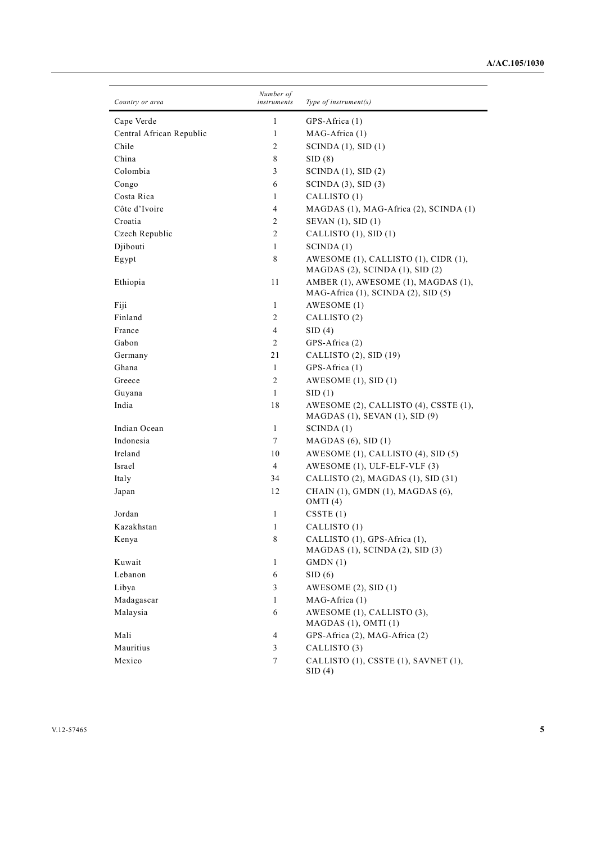| Country or area          | Number of<br>instruments | Type of instrument $(s)$                                                        |
|--------------------------|--------------------------|---------------------------------------------------------------------------------|
| Cape Verde               | 1                        | GPS-Africa (1)                                                                  |
| Central African Republic | 1                        | MAG-Africa (1)                                                                  |
| Chile                    | 2                        | SCINDA $(1)$ , SID $(1)$                                                        |
| China                    | 8                        | SID(8)                                                                          |
| Colombia                 | 3                        | SCINDA $(1)$ , SID $(2)$                                                        |
| Congo                    | 6                        | SCINDA(3), SID(3)                                                               |
| Costa Rica               | 1                        | CALLISTO (1)                                                                    |
| Côte d'Ivoire            | 4                        | MAGDAS (1), MAG-Africa (2), SCINDA (1)                                          |
| Croatia                  | 2                        | SEVAN (1), SID (1)                                                              |
| Czech Republic           | $\overline{c}$           | CALLISTO (1), SID (1)                                                           |
| Djibouti                 | 1                        | SCINDA(1)                                                                       |
| Egypt                    | 8                        | AWESOME (1), CALLISTO (1), CIDR (1),<br>$MAGDAS$ (2), SCINDA (1), SID (2)       |
| Ethiopia                 | 11                       | AMBER (1), AWESOME (1), MAGDAS (1),<br>MAG-Africa (1), SCINDA (2), SID (5)      |
| Fiji                     | 1                        | AWESOME (1)                                                                     |
| Finland                  | 2                        | CALLISTO (2)                                                                    |
| France                   | 4                        | SID(4)                                                                          |
| Gabon                    | 2                        | GPS-Africa (2)                                                                  |
| Germany                  | 21                       | CALLISTO (2), SID (19)                                                          |
| Ghana                    | 1                        | GPS-Africa (1)                                                                  |
| Greece                   | $\overline{c}$           | AWESOME $(1)$ , SID $(1)$                                                       |
| Guyana                   | $\mathbf{1}$             | SID(1)                                                                          |
| India                    | 18                       | AWESOME (2), CALLISTO (4), CSSTE (1),<br>MAGDAS $(1)$ , SEVAN $(1)$ , SID $(9)$ |
| Indian Ocean             | 1                        | SCINDA(1)                                                                       |
| Indonesia                | 7                        | $MAGDAS$ (6), $SID(1)$                                                          |
| Ireland                  | 10                       | AWESOME (1), CALLISTO (4), SID (5)                                              |
| Israel                   | 4                        | AWESOME (1), ULF-ELF-VLF (3)                                                    |
| Italy                    | 34                       | CALLISTO (2), MAGDAS (1), SID (31)                                              |
| Japan                    | 12                       | CHAIN (1), GMDN (1), MAGDAS (6),<br>OMTI(4)                                     |
| Jordan                   | 1                        | CSSTE(1)                                                                        |
| Kazakhstan               | 1                        | CALLISTO (1)                                                                    |
| Kenya                    | 8                        | CALLISTO (1), GPS-Africa (1),<br>MAGDAS (1), SCINDA (2), SID (3)                |
| Kuwait                   | 1                        | GMDN(1)                                                                         |
| Lebanon                  | 6                        | SID(6)                                                                          |
| Libya                    | 3                        | AWESOME $(2)$ , SID $(1)$                                                       |
| Madagascar               | 1                        | MAG-Africa (1)                                                                  |
| Malaysia                 | 6                        | AWESOME (1), CALLISTO (3),<br>$MAGDAS$ (1), OMTI (1)                            |
| Mali                     | 4                        | GPS-Africa (2), MAG-Africa (2)                                                  |
| Mauritius                | 3                        | CALLISTO (3)                                                                    |
| Mexico                   | 7                        | CALLISTO (1), CSSTE (1), SAVNET (1),<br>SID(4)                                  |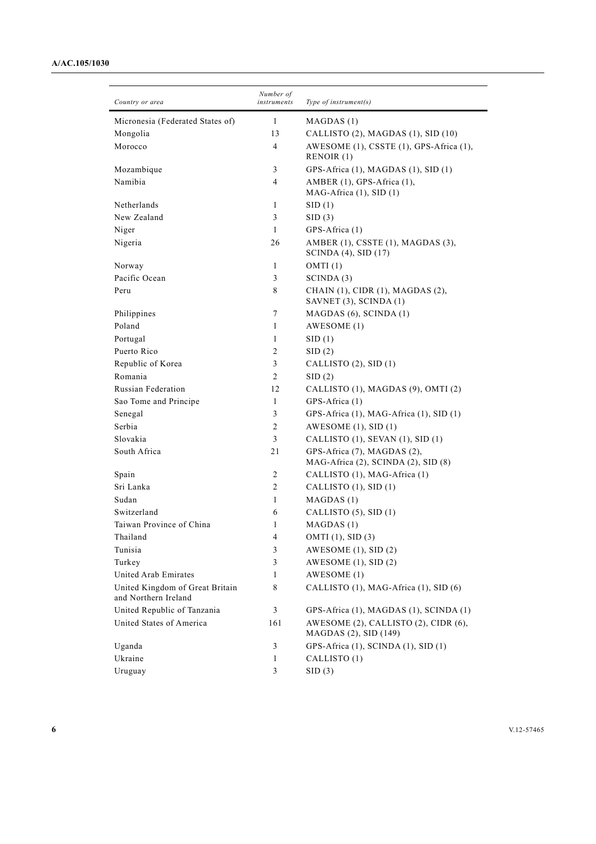#### **A/AC.105/1030**

| Country or area                                         | Number of<br>instruments | Type of instrument $(s)$                                           |
|---------------------------------------------------------|--------------------------|--------------------------------------------------------------------|
| Micronesia (Federated States of)                        | $\mathbf{1}$             | MAGDAS(1)                                                          |
| Mongolia                                                | 13                       | CALLISTO (2), MAGDAS (1), SID (10)                                 |
| Morocco                                                 | 4                        | AWESOME (1), CSSTE (1), GPS-Africa (1),<br>RENOIR (1)              |
| Mozambique                                              | 3                        | GPS-Africa (1), MAGDAS (1), SID (1)                                |
| Namibia                                                 | 4                        | AMBER (1), GPS-Africa (1),<br>MAG-Africa (1), SID (1)              |
| Netherlands                                             | 1                        | SID(1)                                                             |
| New Zealand                                             | 3                        | SID(3)                                                             |
| Niger                                                   | $\mathbf{1}$             | GPS-Africa (1)                                                     |
| Nigeria                                                 | 26                       | AMBER (1), CSSTE (1), MAGDAS (3),<br>SCINDA (4), SID (17)          |
| Norway                                                  | 1                        | OMTI(1)                                                            |
| Pacific Ocean                                           | 3                        | SCINDA(3)                                                          |
| Peru                                                    | 8                        | CHAIN (1), CIDR (1), MAGDAS (2),<br>SAVNET (3), SCINDA (1)         |
| Philippines                                             | $\tau$                   | MAGDAS (6), SCINDA (1)                                             |
| Poland                                                  | 1                        | AWESOME (1)                                                        |
| Portugal                                                | 1                        | SID(1)                                                             |
| Puerto Rico                                             | $\overline{c}$           | SID(2)                                                             |
| Republic of Korea                                       | 3                        | CALLISTO (2), SID (1)                                              |
| Romania                                                 | $\overline{c}$           | SID(2)                                                             |
| <b>Russian Federation</b>                               | 12                       | CALLISTO (1), MAGDAS (9), OMTI (2)                                 |
| Sao Tome and Principe                                   | 1                        | GPS-Africa (1)                                                     |
| Senegal                                                 | 3                        | GPS-Africa (1), MAG-Africa (1), SID (1)                            |
| Serbia                                                  | $\overline{c}$           | AWESOME $(1)$ , SID $(1)$                                          |
| Slovakia                                                | 3                        | CALLISTO (1), SEVAN (1), SID (1)                                   |
| South Africa                                            | 21                       | GPS-Africa (7), MAGDAS (2),<br>MAG-Africa (2), SCINDA (2), SID (8) |
| Spain                                                   | 2                        | CALLISTO (1), MAG-Africa (1)                                       |
| Sri Lanka                                               | 2                        | CALLISTO (1), SID (1)                                              |
| Sudan                                                   | 1                        | MAGDAS (1)                                                         |
| Switzerland                                             | 6                        | CALLISTO (5), SID (1)                                              |
| Taiwan Province of China                                | 1                        | MAGDAS (1)                                                         |
| Thailand                                                | 4                        | OMTI (1), SID (3)                                                  |
| Tunisia                                                 | 3                        | AWESOME $(1)$ , SID $(2)$                                          |
| Turkey                                                  | 3                        | AWESOME $(1)$ , SID $(2)$                                          |
| United Arab Emirates                                    | 1                        | AWESOME (1)                                                        |
| United Kingdom of Great Britain<br>and Northern Ireland | 8                        | CALLISTO (1), MAG-Africa (1), SID (6)                              |
| United Republic of Tanzania                             | 3                        | GPS-Africa (1), MAGDAS (1), SCINDA (1)                             |
| United States of America                                | 161                      | AWESOME (2), CALLISTO (2), CIDR (6),<br>MAGDAS (2), SID (149)      |
| Uganda                                                  | 3                        | GPS-Africa (1), SCINDA (1), SID (1)                                |
| Ukraine                                                 | 1                        | CALLISTO (1)                                                       |
| Uruguay                                                 | 3                        | SID(3)                                                             |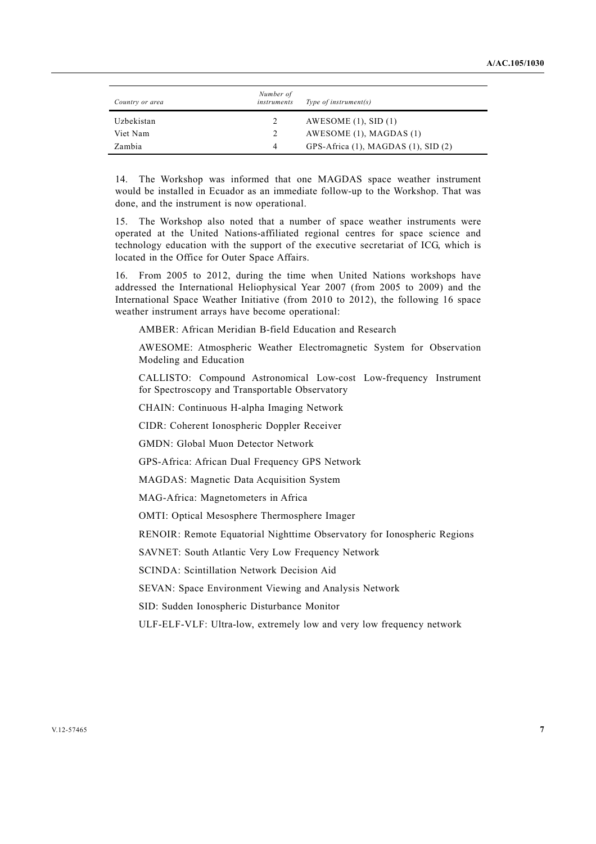| Country or area | Number of<br>instruments | Type of instrument(s)                       |
|-----------------|--------------------------|---------------------------------------------|
| Uzbekistan      | 2                        | AWESOME $(1)$ , SID $(1)$                   |
| Viet Nam        | 2                        | AWESOME $(1)$ , MAGDAS $(1)$                |
| Zambia          | 4                        | GPS-Africa $(1)$ , MAGDAS $(1)$ , SID $(2)$ |

14. The Workshop was informed that one MAGDAS space weather instrument would be installed in Ecuador as an immediate follow-up to the Workshop. That was done, and the instrument is now operational.

15. The Workshop also noted that a number of space weather instruments were operated at the United Nations-affiliated regional centres for space science and technology education with the support of the executive secretariat of ICG, which is located in the Office for Outer Space Affairs.

16. From 2005 to 2012, during the time when United Nations workshops have addressed the International Heliophysical Year 2007 (from 2005 to 2009) and the International Space Weather Initiative (from 2010 to 2012), the following 16 space weather instrument arrays have become operational:

AMBER: African Meridian B-field Education and Research

 AWESOME: Atmospheric Weather Electromagnetic System for Observation Modeling and Education

 CALLISTO: Compound Astronomical Low-cost Low-frequency Instrument for Spectroscopy and Transportable Observatory

CHAIN: Continuous H-alpha Imaging Network

CIDR: Coherent Ionospheric Doppler Receiver

GMDN: Global Muon Detector Network

GPS-Africa: African Dual Frequency GPS Network

MAGDAS: Magnetic Data Acquisition System

MAG-Africa: Magnetometers in Africa

OMTI: Optical Mesosphere Thermosphere Imager

RENOIR: Remote Equatorial Nighttime Observatory for Ionospheric Regions

SAVNET: South Atlantic Very Low Frequency Network

SCINDA: Scintillation Network Decision Aid

SEVAN: Space Environment Viewing and Analysis Network

SID: Sudden Ionospheric Disturbance Monitor

ULF-ELF-VLF: Ultra-low, extremely low and very low frequency network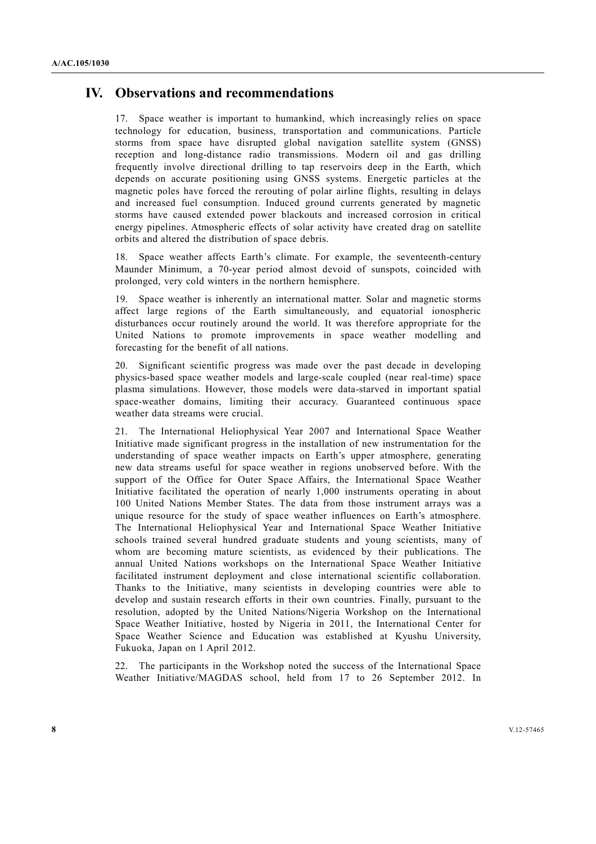### **IV. Observations and recommendations**

17. Space weather is important to humankind, which increasingly relies on space technology for education, business, transportation and communications. Particle storms from space have disrupted global navigation satellite system (GNSS) reception and long-distance radio transmissions. Modern oil and gas drilling frequently involve directional drilling to tap reservoirs deep in the Earth, which depends on accurate positioning using GNSS systems. Energetic particles at the magnetic poles have forced the rerouting of polar airline flights, resulting in delays and increased fuel consumption. Induced ground currents generated by magnetic storms have caused extended power blackouts and increased corrosion in critical energy pipelines. Atmospheric effects of solar activity have created drag on satellite orbits and altered the distribution of space debris.

18. Space weather affects Earth's climate. For example, the seventeenth-century Maunder Minimum, a 70-year period almost devoid of sunspots, coincided with prolonged, very cold winters in the northern hemisphere.

19. Space weather is inherently an international matter. Solar and magnetic storms affect large regions of the Earth simultaneously, and equatorial ionospheric disturbances occur routinely around the world. It was therefore appropriate for the United Nations to promote improvements in space weather modelling and forecasting for the benefit of all nations.

20. Significant scientific progress was made over the past decade in developing physics-based space weather models and large-scale coupled (near real-time) space plasma simulations. However, those models were data-starved in important spatial space-weather domains, limiting their accuracy. Guaranteed continuous space weather data streams were crucial.

21. The International Heliophysical Year 2007 and International Space Weather Initiative made significant progress in the installation of new instrumentation for the understanding of space weather impacts on Earth's upper atmosphere, generating new data streams useful for space weather in regions unobserved before. With the support of the Office for Outer Space Affairs, the International Space Weather Initiative facilitated the operation of nearly 1,000 instruments operating in about 100 United Nations Member States. The data from those instrument arrays was a unique resource for the study of space weather influences on Earth's atmosphere. The International Heliophysical Year and International Space Weather Initiative schools trained several hundred graduate students and young scientists, many of whom are becoming mature scientists, as evidenced by their publications. The annual United Nations workshops on the International Space Weather Initiative facilitated instrument deployment and close international scientific collaboration. Thanks to the Initiative, many scientists in developing countries were able to develop and sustain research efforts in their own countries. Finally, pursuant to the resolution, adopted by the United Nations/Nigeria Workshop on the International Space Weather Initiative, hosted by Nigeria in 2011, the International Center for Space Weather Science and Education was established at Kyushu University, Fukuoka, Japan on 1 April 2012.

22. The participants in the Workshop noted the success of the International Space Weather Initiative/MAGDAS school, held from 17 to 26 September 2012. In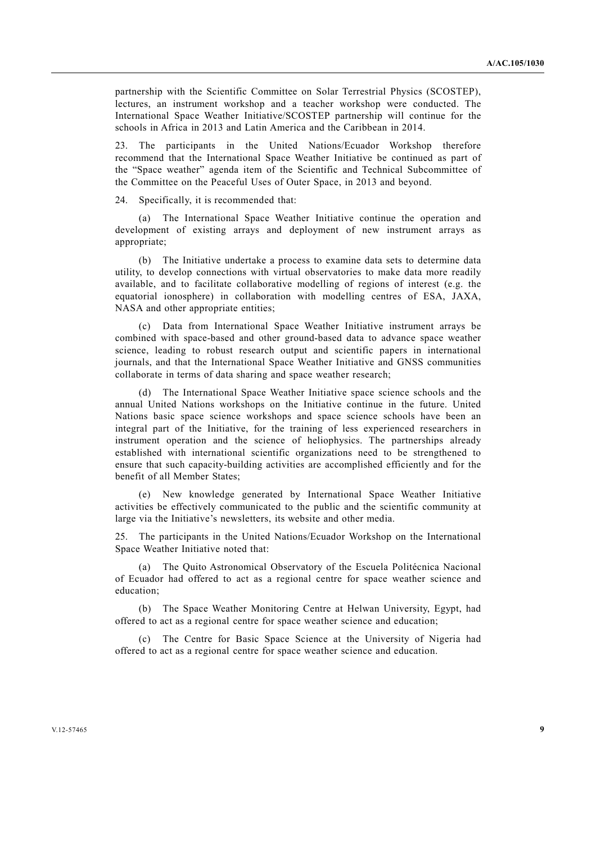partnership with the Scientific Committee on Solar Terrestrial Physics (SCOSTEP), lectures, an instrument workshop and a teacher workshop were conducted. The International Space Weather Initiative/SCOSTEP partnership will continue for the schools in Africa in 2013 and Latin America and the Caribbean in 2014.

23. The participants in the United Nations/Ecuador Workshop therefore recommend that the International Space Weather Initiative be continued as part of the "Space weather" agenda item of the Scientific and Technical Subcommittee of the Committee on the Peaceful Uses of Outer Space, in 2013 and beyond.

24. Specifically, it is recommended that:

 (a) The International Space Weather Initiative continue the operation and development of existing arrays and deployment of new instrument arrays as appropriate;

 (b) The Initiative undertake a process to examine data sets to determine data utility, to develop connections with virtual observatories to make data more readily available, and to facilitate collaborative modelling of regions of interest (e.g. the equatorial ionosphere) in collaboration with modelling centres of ESA, JAXA, NASA and other appropriate entities;

 (c) Data from International Space Weather Initiative instrument arrays be combined with space-based and other ground-based data to advance space weather science, leading to robust research output and scientific papers in international journals, and that the International Space Weather Initiative and GNSS communities collaborate in terms of data sharing and space weather research;

 (d) The International Space Weather Initiative space science schools and the annual United Nations workshops on the Initiative continue in the future. United Nations basic space science workshops and space science schools have been an integral part of the Initiative, for the training of less experienced researchers in instrument operation and the science of heliophysics. The partnerships already established with international scientific organizations need to be strengthened to ensure that such capacity-building activities are accomplished efficiently and for the benefit of all Member States;

 (e) New knowledge generated by International Space Weather Initiative activities be effectively communicated to the public and the scientific community at large via the Initiative's newsletters, its website and other media.

25. The participants in the United Nations/Ecuador Workshop on the International Space Weather Initiative noted that:

 (a) The Quito Astronomical Observatory of the Escuela Politécnica Nacional of Ecuador had offered to act as a regional centre for space weather science and education;

 (b) The Space Weather Monitoring Centre at Helwan University, Egypt, had offered to act as a regional centre for space weather science and education;

 (c) The Centre for Basic Space Science at the University of Nigeria had offered to act as a regional centre for space weather science and education.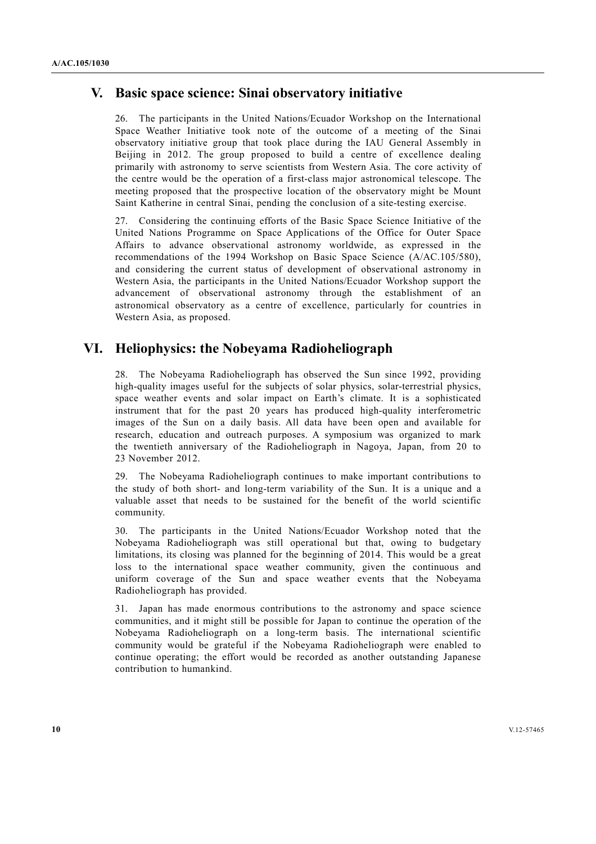## **V. Basic space science: Sinai observatory initiative**

26. The participants in the United Nations/Ecuador Workshop on the International Space Weather Initiative took note of the outcome of a meeting of the Sinai observatory initiative group that took place during the IAU General Assembly in Beijing in 2012. The group proposed to build a centre of excellence dealing primarily with astronomy to serve scientists from Western Asia. The core activity of the centre would be the operation of a first-class major astronomical telescope. The meeting proposed that the prospective location of the observatory might be Mount Saint Katherine in central Sinai, pending the conclusion of a site-testing exercise.

27. Considering the continuing efforts of the Basic Space Science Initiative of the United Nations Programme on Space Applications of the Office for Outer Space Affairs to advance observational astronomy worldwide, as expressed in the recommendations of the 1994 Workshop on Basic Space Science (A/AC.105/580), and considering the current status of development of observational astronomy in Western Asia, the participants in the United Nations/Ecuador Workshop support the advancement of observational astronomy through the establishment of an astronomical observatory as a centre of excellence, particularly for countries in Western Asia, as proposed.

### **VI. Heliophysics: the Nobeyama Radioheliograph**

28. The Nobeyama Radioheliograph has observed the Sun since 1992, providing high-quality images useful for the subjects of solar physics, solar-terrestrial physics, space weather events and solar impact on Earth's climate. It is a sophisticated instrument that for the past 20 years has produced high-quality interferometric images of the Sun on a daily basis. All data have been open and available for research, education and outreach purposes. A symposium was organized to mark the twentieth anniversary of the Radioheliograph in Nagoya, Japan, from 20 to 23 November 2012.

29. The Nobeyama Radioheliograph continues to make important contributions to the study of both short- and long-term variability of the Sun. It is a unique and a valuable asset that needs to be sustained for the benefit of the world scientific community.

30. The participants in the United Nations/Ecuador Workshop noted that the Nobeyama Radioheliograph was still operational but that, owing to budgetary limitations, its closing was planned for the beginning of 2014. This would be a great loss to the international space weather community, given the continuous and uniform coverage of the Sun and space weather events that the Nobeyama Radioheliograph has provided.

31. Japan has made enormous contributions to the astronomy and space science communities, and it might still be possible for Japan to continue the operation of the Nobeyama Radioheliograph on a long-term basis. The international scientific community would be grateful if the Nobeyama Radioheliograph were enabled to continue operating; the effort would be recorded as another outstanding Japanese contribution to humankind.